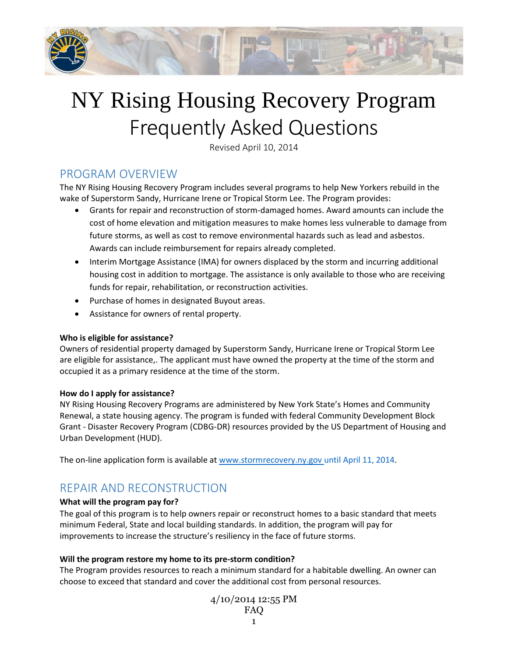

# NY Rising Housing Recovery Program Frequently Asked Questions

Revised April 10, 2014

# PROGRAM OVERVIEW

The NY Rising Housing Recovery Program includes several programs to help New Yorkers rebuild in the wake of Superstorm Sandy, Hurricane Irene or Tropical Storm Lee. The Program provides:

- Grants for repair and reconstruction of storm-damaged homes. Award amounts can include the cost of home elevation and mitigation measures to make homes less vulnerable to damage from future storms, as well as cost to remove environmental hazards such as lead and asbestos. Awards can include reimbursement for repairs already completed.
- Interim Mortgage Assistance (IMA) for owners displaced by the storm and incurring additional housing cost in addition to mortgage. The assistance is only available to those who are receiving funds for repair, rehabilitation, or reconstruction activities.
- Purchase of homes in designated Buyout areas.
- Assistance for owners of rental property.

# **Who is eligible for assistance?**

Owners of residential property damaged by Superstorm Sandy, Hurricane Irene or Tropical Storm Lee are eligible for assistance,. The applicant must have owned the property at the time of the storm and occupied it as a primary residence at the time of the storm.

# **How do I apply for assistance?**

NY Rising Housing Recovery Programs are administered by New York State's Homes and Community Renewal, a state housing agency. The program is funded with federal Community Development Block Grant - Disaster Recovery Program (CDBG-DR) resources provided by the US Department of Housing and Urban Development (HUD).

The on-line application form is available at [www.stormrecovery.ny.gov](http://www.stormrecovery.ny.gov/) until April 11, 2014.

# REPAIR AND RECONSTRUCTION

# **What will the program pay for?**

The goal of this program is to help owners repair or reconstruct homes to a basic standard that meets minimum Federal, State and local building standards. In addition, the program will pay for improvements to increase the structure's resiliency in the face of future storms.

# **Will the program restore my home to its pre-storm condition?**

The Program provides resources to reach a minimum standard for a habitable dwelling. An owner can choose to exceed that standard and cover the additional cost from personal resources.

$$
\frac{4}{10}/\frac{2014}{12:55} \, \text{PM}
$$
\n
$$
\text{FAQ}
$$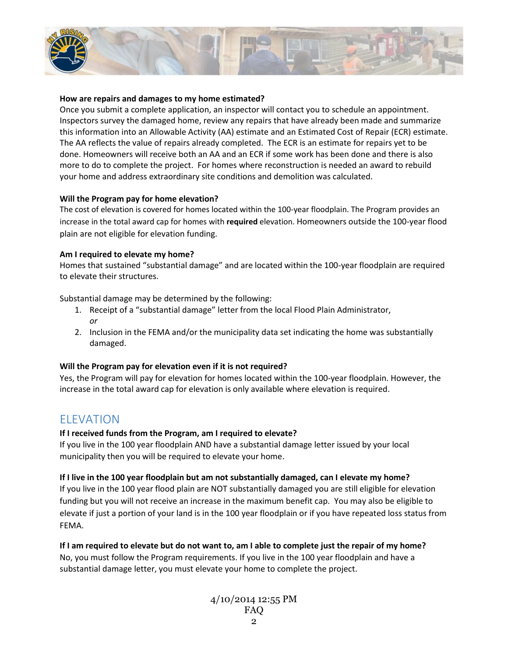

#### **How are repairs and damages to my home estimated?**

Once you submit a complete application, an inspector will contact you to schedule an appointment. Inspectors survey the damaged home, review any repairs that have already been made and summarize this information into an Allowable Activity (AA) estimate and an Estimated Cost of Repair (ECR) estimate. The AA reflects the value of repairs already completed. The ECR is an estimate for repairs yet to be done. Homeowners will receive both an AA and an ECR if some work has been done and there is also more to do to complete the project. For homes where reconstruction is needed an award to rebuild your home and address extraordinary site conditions and demolition was calculated.

#### **Will the Program pay for home elevation?**

The cost of elevation is covered for homes located within the 100-year floodplain. The Program provides an increase in the total award cap for homes with **required** elevation. Homeowners outside the 100-year flood plain are not eligible for elevation funding.

#### **Am I required to elevate my home?**

Homes that sustained "substantial damage" and are located within the 100-year floodplain are required to elevate their structures.

Substantial damage may be determined by the following:

- 1. Receipt of a "substantial damage" letter from the local Flood Plain Administrator, *or*
- 2. Inclusion in the FEMA and/or the municipality data set indicating the home was substantially damaged.

#### **Will the Program pay for elevation even if it is not required?**

Yes, the Program will pay for elevation for homes located within the 100-year floodplain. However, the increase in the total award cap for elevation is only available where elevation is required.

# ELEVATION

#### **If I received funds from the Program, am I required to elevate?**

If you live in the 100 year floodplain AND have a substantial damage letter issued by your local municipality then you will be required to elevate your home.

#### **If I live in the 100 year floodplain but am not substantially damaged, can I elevate my home?**

If you live in the 100 year flood plain are NOT substantially damaged you are still eligible for elevation funding but you will not receive an increase in the maximum benefit cap. You may also be eligible to elevate if just a portion of your land is in the 100 year floodplain or if you have repeated loss status from FEMA.

#### **If I am required to elevate but do not want to, am I able to complete just the repair of my home?**

No, you must follow the Program requirements. If you live in the 100 year floodplain and have a substantial damage letter, you must elevate your home to complete the project.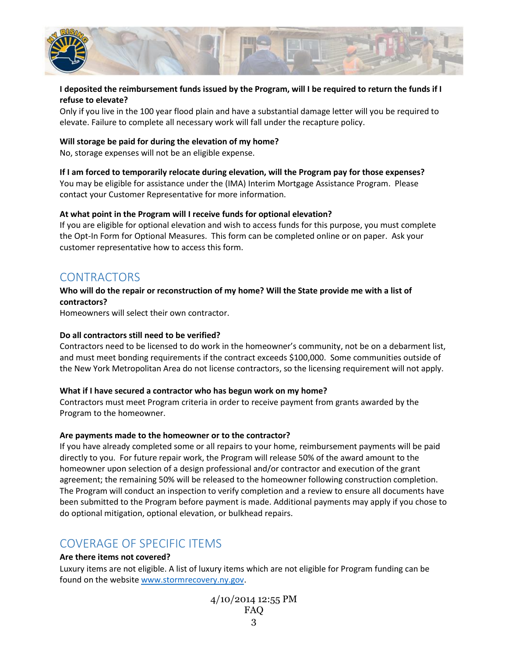

# **I deposited the reimbursement funds issued by the Program, will I be required to return the funds if I refuse to elevate?**

Only if you live in the 100 year flood plain and have a substantial damage letter will you be required to elevate. Failure to complete all necessary work will fall under the recapture policy.

#### **Will storage be paid for during the elevation of my home?**

No, storage expenses will not be an eligible expense.

# **If I am forced to temporarily relocate during elevation, will the Program pay for those expenses?**

You may be eligible for assistance under the (IMA) Interim Mortgage Assistance Program. Please contact your Customer Representative for more information.

## **At what point in the Program will I receive funds for optional elevation?**

If you are eligible for optional elevation and wish to access funds for this purpose, you must complete the Opt-In Form for Optional Measures. This form can be completed online or on paper. Ask your customer representative how to access this form.

# **CONTRACTORS**

## **Who will do the repair or reconstruction of my home? Will the State provide me with a list of contractors?**

Homeowners will select their own contractor.

#### **Do all contractors still need to be verified?**

Contractors need to be licensed to do work in the homeowner's community, not be on a debarment list, and must meet bonding requirements if the contract exceeds \$100,000. Some communities outside of the New York Metropolitan Area do not license contractors, so the licensing requirement will not apply.

#### **What if I have secured a contractor who has begun work on my home?**

Contractors must meet Program criteria in order to receive payment from grants awarded by the Program to the homeowner.

#### **Are payments made to the homeowner or to the contractor?**

If you have already completed some or all repairs to your home, reimbursement payments will be paid directly to you. For future repair work, the Program will release 50% of the award amount to the homeowner upon selection of a design professional and/or contractor and execution of the grant agreement; the remaining 50% will be released to the homeowner following construction completion. The Program will conduct an inspection to verify completion and a review to ensure all documents have been submitted to the Program before payment is made. Additional payments may apply if you chose to do optional mitigation, optional elevation, or bulkhead repairs.

# COVERAGE OF SPECIFIC ITEMS

# **Are there items not covered?**

Luxury items are not eligible. A list of luxury items which are not eligible for Program funding can be found on the website [www.stormrecovery.ny.gov.](http://www.stormrecovery.ny.gov/)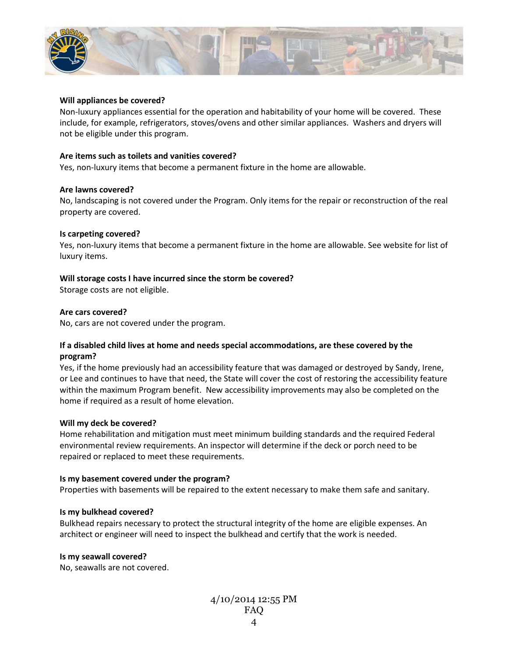

#### **Will appliances be covered?**

Non-luxury appliances essential for the operation and habitability of your home will be covered. These include, for example, refrigerators, stoves/ovens and other similar appliances. Washers and dryers will not be eligible under this program.

#### **Are items such as toilets and vanities covered?**

Yes, non-luxury items that become a permanent fixture in the home are allowable.

#### **Are lawns covered?**

No, landscaping is not covered under the Program. Only items for the repair or reconstruction of the real property are covered.

#### **Is carpeting covered?**

Yes, non-luxury items that become a permanent fixture in the home are allowable. See website for list of luxury items.

#### **Will storage costs I have incurred since the storm be covered?**

Storage costs are not eligible.

#### **Are cars covered?**

No, cars are not covered under the program.

#### **If a disabled child lives at home and needs special accommodations, are these covered by the program?**

Yes, if the home previously had an accessibility feature that was damaged or destroyed by Sandy, Irene, or Lee and continues to have that need, the State will cover the cost of restoring the accessibility feature within the maximum Program benefit. New accessibility improvements may also be completed on the home if required as a result of home elevation.

#### **Will my deck be covered?**

Home rehabilitation and mitigation must meet minimum building standards and the required Federal environmental review requirements. An inspector will determine if the deck or porch need to be repaired or replaced to meet these requirements.

#### **Is my basement covered under the program?**

Properties with basements will be repaired to the extent necessary to make them safe and sanitary.

#### **Is my bulkhead covered?**

Bulkhead repairs necessary to protect the structural integrity of the home are eligible expenses. An architect or engineer will need to inspect the bulkhead and certify that the work is needed.

#### **Is my seawall covered?**

No, seawalls are not covered.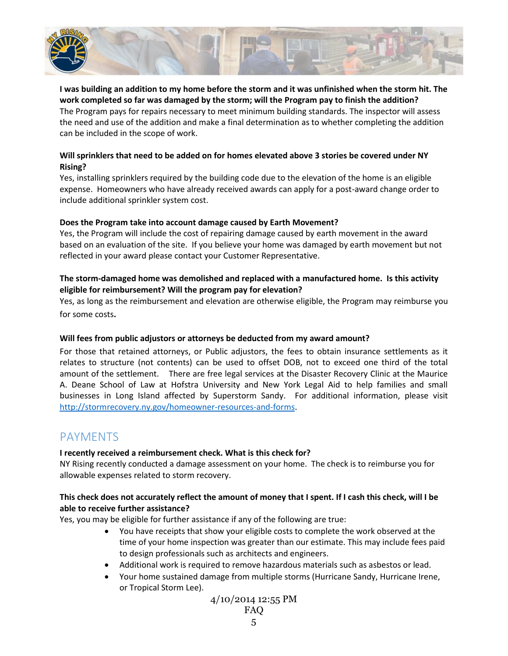

## **I was building an addition to my home before the storm and it was unfinished when the storm hit. The work completed so far was damaged by the storm; will the Program pay to finish the addition?**

The Program pays for repairs necessary to meet minimum building standards. The inspector will assess the need and use of the addition and make a final determination as to whether completing the addition can be included in the scope of work.

## **Will sprinklers that need to be added on for homes elevated above 3 stories be covered under NY Rising?**

Yes, installing sprinklers required by the building code due to the elevation of the home is an eligible expense. Homeowners who have already received awards can apply for a post-award change order to include additional sprinkler system cost.

## **Does the Program take into account damage caused by Earth Movement?**

Yes, the Program will include the cost of repairing damage caused by earth movement in the award based on an evaluation of the site. If you believe your home was damaged by earth movement but not reflected in your award please contact your Customer Representative.

# **The storm-damaged home was demolished and replaced with a manufactured home. Is this activity eligible for reimbursement? Will the program pay for elevation?**

Yes, as long as the reimbursement and elevation are otherwise eligible, the Program may reimburse you for some costs**.** 

# **Will fees from public adjustors or attorneys be deducted from my award amount?**

For those that retained attorneys, or Public adjustors, the fees to obtain insurance settlements as it relates to structure (not contents) can be used to offset DOB, not to exceed one third of the total amount of the settlement. There are free legal services at the Disaster Recovery Clinic at the Maurice A. Deane School of Law at Hofstra University and New York Legal Aid to help families and small businesses in Long Island affected by Superstorm Sandy. For additional information, please visit [http://stormrecovery.ny.gov/homeowner-resources-and-forms.](http://stormrecovery.ny.gov/homeowner-resources-and-forms)

# PAYMENTS

# **I recently received a reimbursement check. What is this check for?**

NY Rising recently conducted a damage assessment on your home. The check is to reimburse you for allowable expenses related to storm recovery.

# **This check does not accurately reflect the amount of money that I spent. If I cash this check, will I be able to receive further assistance?**

Yes, you may be eligible for further assistance if any of the following are true:

- You have receipts that show your eligible costs to complete the work observed at the time of your home inspection was greater than our estimate. This may include fees paid to design professionals such as architects and engineers.
- Additional work is required to remove hazardous materials such as asbestos or lead.
- Your home sustained damage from multiple storms (Hurricane Sandy, Hurricane Irene, or Tropical Storm Lee).

$$
4/10/201412:55 \text{ PM}
$$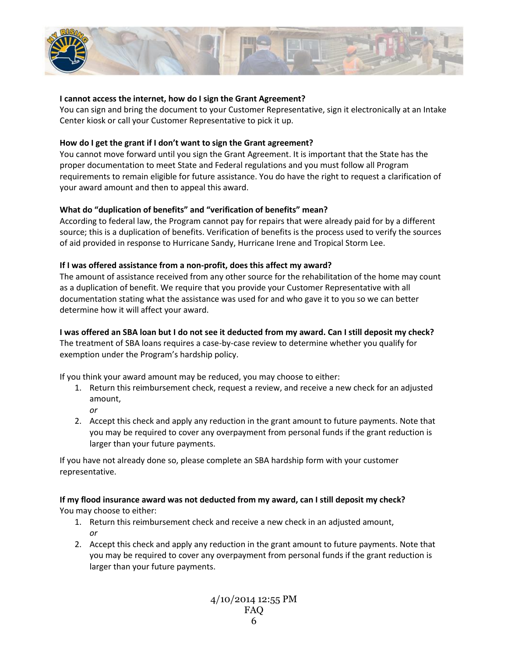

#### **I cannot access the internet, how do I sign the Grant Agreement?**

You can sign and bring the document to your Customer Representative, sign it electronically at an Intake Center kiosk or call your Customer Representative to pick it up.

#### **How do I get the grant if I don't want to sign the Grant agreement?**

You cannot move forward until you sign the Grant Agreement. It is important that the State has the proper documentation to meet State and Federal regulations and you must follow all Program requirements to remain eligible for future assistance. You do have the right to request a clarification of your award amount and then to appeal this award.

#### **What do "duplication of benefits" and "verification of benefits" mean?**

According to federal law, the Program cannot pay for repairs that were already paid for by a different source; this is a duplication of benefits. Verification of benefits is the process used to verify the sources of aid provided in response to Hurricane Sandy, Hurricane Irene and Tropical Storm Lee.

#### **If I was offered assistance from a non-profit, does this affect my award?**

The amount of assistance received from any other source for the rehabilitation of the home may count as a duplication of benefit. We require that you provide your Customer Representative with all documentation stating what the assistance was used for and who gave it to you so we can better determine how it will affect your award.

**I was offered an SBA loan but I do not see it deducted from my award. Can I still deposit my check?** The treatment of SBA loans requires a case-by-case review to determine whether you qualify for exemption under the Program's hardship policy.

If you think your award amount may be reduced, you may choose to either:

- 1. Return this reimbursement check, request a review, and receive a new check for an adjusted amount,
	- *or*
- 2. Accept this check and apply any reduction in the grant amount to future payments. Note that you may be required to cover any overpayment from personal funds if the grant reduction is larger than your future payments.

If you have not already done so, please complete an SBA hardship form with your customer representative.

#### **If my flood insurance award was not deducted from my award, can I still deposit my check?**

You may choose to either:

- 1. Return this reimbursement check and receive a new check in an adjusted amount, *or*
- 2. Accept this check and apply any reduction in the grant amount to future payments. Note that you may be required to cover any overpayment from personal funds if the grant reduction is larger than your future payments.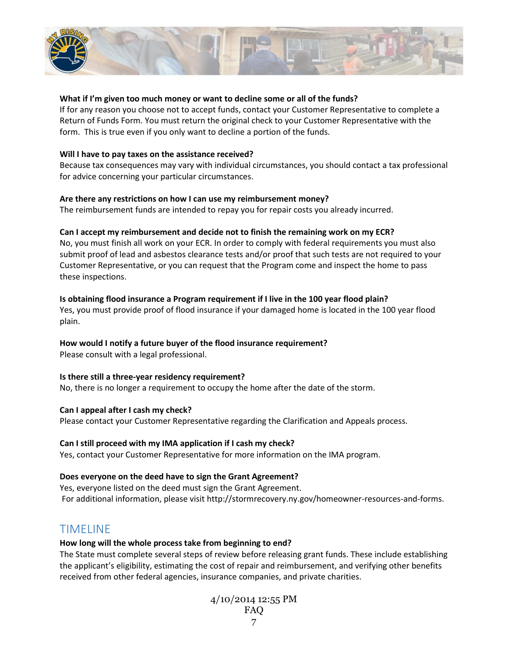

#### **What if I'm given too much money or want to decline some or all of the funds?**

If for any reason you choose not to accept funds, contact your Customer Representative to complete a Return of Funds Form. You must return the original check to your Customer Representative with the form. This is true even if you only want to decline a portion of the funds.

#### **Will I have to pay taxes on the assistance received?**

Because tax consequences may vary with individual circumstances, you should contact a tax professional for advice concerning your particular circumstances.

#### **Are there any restrictions on how I can use my reimbursement money?**

The reimbursement funds are intended to repay you for repair costs you already incurred.

#### **Can I accept my reimbursement and decide not to finish the remaining work on my ECR?**

No, you must finish all work on your ECR. In order to comply with federal requirements you must also submit proof of lead and asbestos clearance tests and/or proof that such tests are not required to your Customer Representative, or you can request that the Program come and inspect the home to pass these inspections.

#### **Is obtaining flood insurance a Program requirement if I live in the 100 year flood plain?**

Yes, you must provide proof of flood insurance if your damaged home is located in the 100 year flood plain.

#### **How would I notify a future buyer of the flood insurance requirement?**

Please consult with a legal professional.

#### **Is there still a three-year residency requirement?**

No, there is no longer a requirement to occupy the home after the date of the storm.

#### **Can I appeal after I cash my check?**

Please contact your Customer Representative regarding the Clarification and Appeals process.

#### **Can I still proceed with my IMA application if I cash my check?**

Yes, contact your Customer Representative for more information on the IMA program.

#### **Does everyone on the deed have to sign the Grant Agreement?**

Yes, everyone listed on the deed must sign the Grant Agreement. For additional information, please visit http://stormrecovery.ny.gov/homeowner-resources-and-forms.

# TIMELINE

#### **How long will the whole process take from beginning to end?**

The State must complete several steps of review before releasing grant funds. These include establishing the applicant's eligibility, estimating the cost of repair and reimbursement, and verifying other benefits received from other federal agencies, insurance companies, and private charities.

> 4/10/2014 12:55 PM FAQ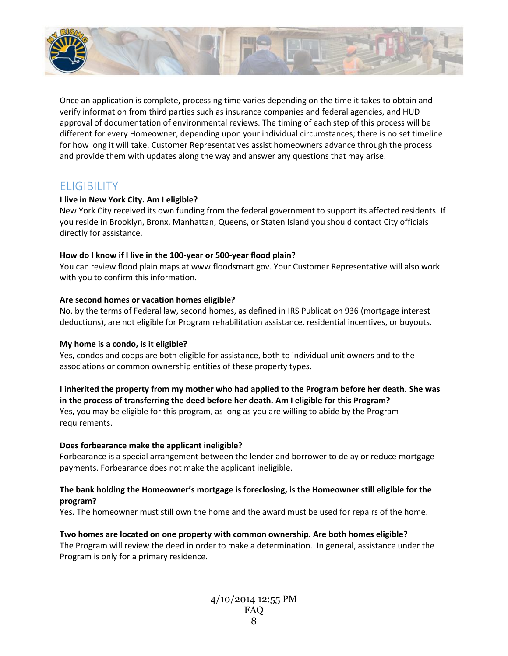

Once an application is complete, processing time varies depending on the time it takes to obtain and verify information from third parties such as insurance companies and federal agencies, and HUD approval of documentation of environmental reviews. The timing of each step of this process will be different for every Homeowner, depending upon your individual circumstances; there is no set timeline for how long it will take. Customer Representatives assist homeowners advance through the process and provide them with updates along the way and answer any questions that may arise.

# **ELIGIBILITY**

## **I live in New York City. Am I eligible?**

New York City received its own funding from the federal government to support its affected residents. If you reside in Brooklyn, Bronx, Manhattan, Queens, or Staten Island you should contact City officials directly for assistance.

## **How do I know if I live in the 100-year or 500-year flood plain?**

You can review flood plain maps a[t www.floodsmart.gov.](http://www.floodsmart.gov/) Your Customer Representative will also work with you to confirm this information.

## **Are second homes or vacation homes eligible?**

No, by the terms of Federal law, second homes, as defined in IRS Publication 936 (mortgage interest deductions), are not eligible for Program rehabilitation assistance, residential incentives, or buyouts.

# **My home is a condo, is it eligible?**

Yes, condos and coops are both eligible for assistance, both to individual unit owners and to the associations or common ownership entities of these property types.

**I inherited the property from my mother who had applied to the Program before her death. She was in the process of transferring the deed before her death. Am I eligible for this Program?** Yes, you may be eligible for this program, as long as you are willing to abide by the Program

requirements.

# **Does forbearance make the applicant ineligible?**

Forbearance is a special arrangement between the lender and borrower to delay or reduce mortgage payments. Forbearance does not make the applicant ineligible.

# **The bank holding the Homeowner's mortgage is foreclosing, is the Homeowner still eligible for the program?**

Yes. The homeowner must still own the home and the award must be used for repairs of the home.

# **Two homes are located on one property with common ownership. Are both homes eligible?**

The Program will review the deed in order to make a determination. In general, assistance under the Program is only for a primary residence.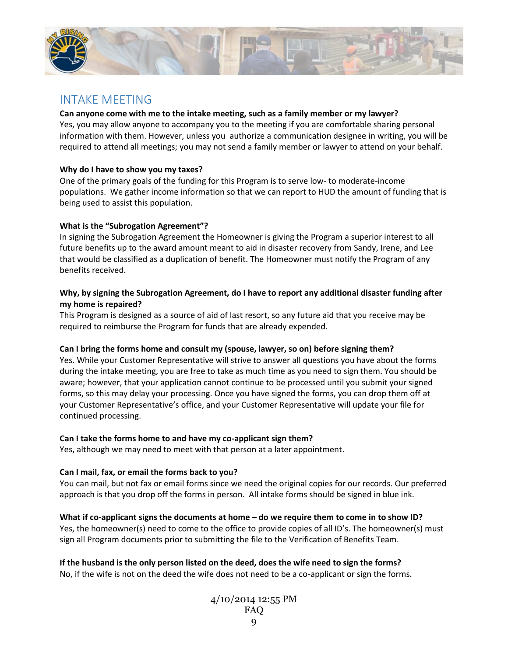

# INTAKE MEETING

## **Can anyone come with me to the intake meeting, such as a family member or my lawyer?**

Yes, you may allow anyone to accompany you to the meeting if you are comfortable sharing personal information with them. However, unless you authorize a communication designee in writing, you will be required to attend all meetings; you may not send a family member or lawyer to attend on your behalf.

#### **Why do I have to show you my taxes?**

One of the primary goals of the funding for this Program is to serve low- to moderate-income populations. We gather income information so that we can report to HUD the amount of funding that is being used to assist this population.

## **What is the "Subrogation Agreement"?**

In signing the Subrogation Agreement the Homeowner is giving the Program a superior interest to all future benefits up to the award amount meant to aid in disaster recovery from Sandy, Irene, and Lee that would be classified as a duplication of benefit. The Homeowner must notify the Program of any benefits received.

## **Why, by signing the Subrogation Agreement, do I have to report any additional disaster funding after my home is repaired?**

This Program is designed as a source of aid of last resort, so any future aid that you receive may be required to reimburse the Program for funds that are already expended.

#### **Can I bring the forms home and consult my (spouse, lawyer, so on) before signing them?**

Yes. While your Customer Representative will strive to answer all questions you have about the forms during the intake meeting, you are free to take as much time as you need to sign them. You should be aware; however, that your application cannot continue to be processed until you submit your signed forms, so this may delay your processing. Once you have signed the forms, you can drop them off at your Customer Representative's office, and your Customer Representative will update your file for continued processing.

# **Can I take the forms home to and have my co-applicant sign them?**

Yes, although we may need to meet with that person at a later appointment.

# **Can I mail, fax, or email the forms back to you?**

You can mail, but not fax or email forms since we need the original copies for our records. Our preferred approach is that you drop off the forms in person. All intake forms should be signed in blue ink.

# **What if co-applicant signs the documents at home – do we require them to come in to show ID?**

Yes, the homeowner(s) need to come to the office to provide copies of all ID's. The homeowner(s) must sign all Program documents prior to submitting the file to the Verification of Benefits Team.

**If the husband is the only person listed on the deed, does the wife need to sign the forms?** No, if the wife is not on the deed the wife does not need to be a co-applicant or sign the forms.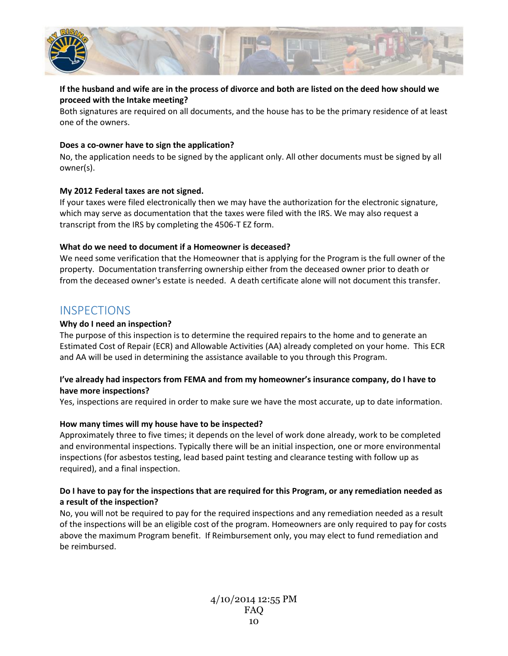

# **If the husband and wife are in the process of divorce and both are listed on the deed how should we proceed with the Intake meeting?**

Both signatures are required on all documents, and the house has to be the primary residence of at least one of the owners.

#### **Does a co-owner have to sign the application?**

No, the application needs to be signed by the applicant only. All other documents must be signed by all owner(s).

#### **My 2012 Federal taxes are not signed.**

If your taxes were filed electronically then we may have the authorization for the electronic signature, which may serve as documentation that the taxes were filed with the IRS. We may also request a transcript from the IRS by completing the 4506-T EZ form.

#### **What do we need to document if a Homeowner is deceased?**

We need some verification that the Homeowner that is applying for the Program is the full owner of the property. Documentation transferring ownership either from the deceased owner prior to death or from the deceased owner's estate is needed. A death certificate alone will not document this transfer.

# **INSPECTIONS**

#### **Why do I need an inspection?**

The purpose of this inspection is to determine the required repairs to the home and to generate an Estimated Cost of Repair (ECR) and Allowable Activities (AA) already completed on your home. This ECR and AA will be used in determining the assistance available to you through this Program.

#### **I've already had inspectors from FEMA and from my homeowner's insurance company, do I have to have more inspections?**

Yes, inspections are required in order to make sure we have the most accurate, up to date information.

#### **How many times will my house have to be inspected?**

Approximately three to five times; it depends on the level of work done already, work to be completed and environmental inspections. Typically there will be an initial inspection, one or more environmental inspections (for asbestos testing, lead based paint testing and clearance testing with follow up as required), and a final inspection.

#### **Do I have to pay for the inspections that are required for this Program, or any remediation needed as a result of the inspection?**

No, you will not be required to pay for the required inspections and any remediation needed as a result of the inspections will be an eligible cost of the program. Homeowners are only required to pay for costs above the maximum Program benefit. If Reimbursement only, you may elect to fund remediation and be reimbursed.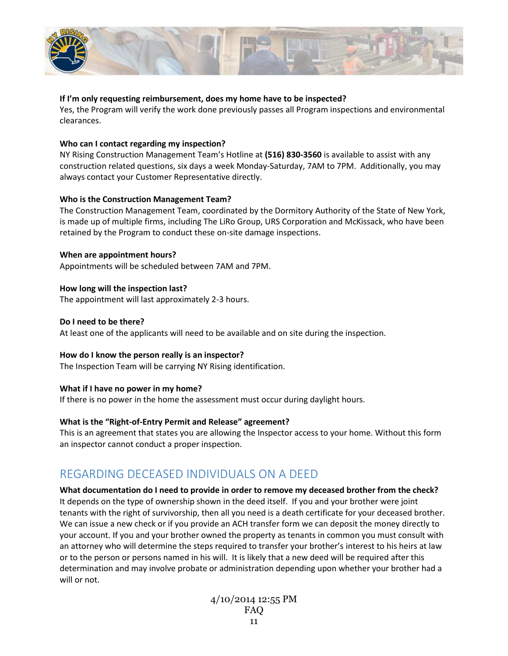

#### **If I'm only requesting reimbursement, does my home have to be inspected?**

Yes, the Program will verify the work done previously passes all Program inspections and environmental clearances.

#### **Who can I contact regarding my inspection?**

NY Rising Construction Management Team's Hotline at **(516) 830-3560** is available to assist with any construction related questions, six days a week Monday-Saturday, 7AM to 7PM. Additionally, you may always contact your Customer Representative directly.

#### **Who is the Construction Management Team?**

The Construction Management Team, coordinated by the Dormitory Authority of the State of New York, is made up of multiple firms, including The LiRo Group, URS Corporation and McKissack, who have been retained by the Program to conduct these on-site damage inspections.

#### **When are appointment hours?**

Appointments will be scheduled between 7AM and 7PM.

#### **How long will the inspection last?**

The appointment will last approximately 2-3 hours.

#### **Do I need to be there?**

At least one of the applicants will need to be available and on site during the inspection.

#### **How do I know the person really is an inspector?**

The Inspection Team will be carrying NY Rising identification.

#### **What if I have no power in my home?**

If there is no power in the home the assessment must occur during daylight hours.

#### **What is the "Right-of-Entry Permit and Release" agreement?**

This is an agreement that states you are allowing the Inspector access to your home. Without this form an inspector cannot conduct a proper inspection.

# REGARDING DECEASED INDIVIDUALS ON A DEED

**What documentation do I need to provide in order to remove my deceased brother from the check?** It depends on the type of ownership shown in the deed itself. If you and your brother were joint tenants with the right of survivorship, then all you need is a death certificate for your deceased brother. We can issue a new check or if you provide an ACH transfer form we can deposit the money directly to your account. If you and your brother owned the property as tenants in common you must consult with an attorney who will determine the steps required to transfer your brother's interest to his heirs at law or to the person or persons named in his will. It is likely that a new deed will be required after this determination and may involve probate or administration depending upon whether your brother had a will or not.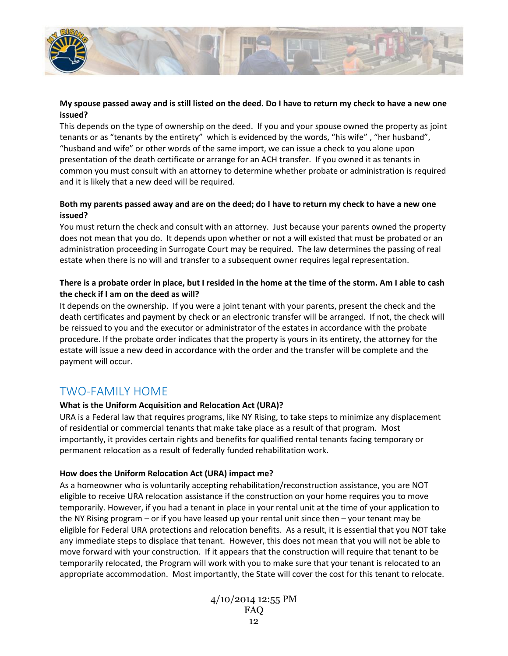

#### **My spouse passed away and is still listed on the deed. Do I have to return my check to have a new one issued?**

This depends on the type of ownership on the deed. If you and your spouse owned the property as joint tenants or as "tenants by the entirety" which is evidenced by the words, "his wife" , "her husband", "husband and wife" or other words of the same import, we can issue a check to you alone upon presentation of the death certificate or arrange for an ACH transfer. If you owned it as tenants in common you must consult with an attorney to determine whether probate or administration is required and it is likely that a new deed will be required.

# **Both my parents passed away and are on the deed; do I have to return my check to have a new one issued?**

You must return the check and consult with an attorney. Just because your parents owned the property does not mean that you do. It depends upon whether or not a will existed that must be probated or an administration proceeding in Surrogate Court may be required. The law determines the passing of real estate when there is no will and transfer to a subsequent owner requires legal representation.

# **There is a probate order in place, but I resided in the home at the time of the storm. Am I able to cash the check if I am on the deed as will?**

It depends on the ownership. If you were a joint tenant with your parents, present the check and the death certificates and payment by check or an electronic transfer will be arranged. If not, the check will be reissued to you and the executor or administrator of the estates in accordance with the probate procedure. If the probate order indicates that the property is yours in its entirety, the attorney for the estate will issue a new deed in accordance with the order and the transfer will be complete and the payment will occur.

# TWO-FAMILY HOME

# **What is the Uniform Acquisition and Relocation Act (URA)?**

URA is a Federal law that requires programs, like NY Rising, to take steps to minimize any displacement of residential or commercial tenants that make take place as a result of that program. Most importantly, it provides certain rights and benefits for qualified rental tenants facing temporary or permanent relocation as a result of federally funded rehabilitation work.

# **How does the Uniform Relocation Act (URA) impact me?**

As a homeowner who is voluntarily accepting rehabilitation/reconstruction assistance, you are NOT eligible to receive URA relocation assistance if the construction on your home requires you to move temporarily. However, if you had a tenant in place in your rental unit at the time of your application to the NY Rising program – or if you have leased up your rental unit since then – your tenant may be eligible for Federal URA protections and relocation benefits. As a result, it is essential that you NOT take any immediate steps to displace that tenant. However, this does not mean that you will not be able to move forward with your construction. If it appears that the construction will require that tenant to be temporarily relocated, the Program will work with you to make sure that your tenant is relocated to an appropriate accommodation. Most importantly, the State will cover the cost for this tenant to relocate.

> 4/10/2014 12:55 PM FAQ 12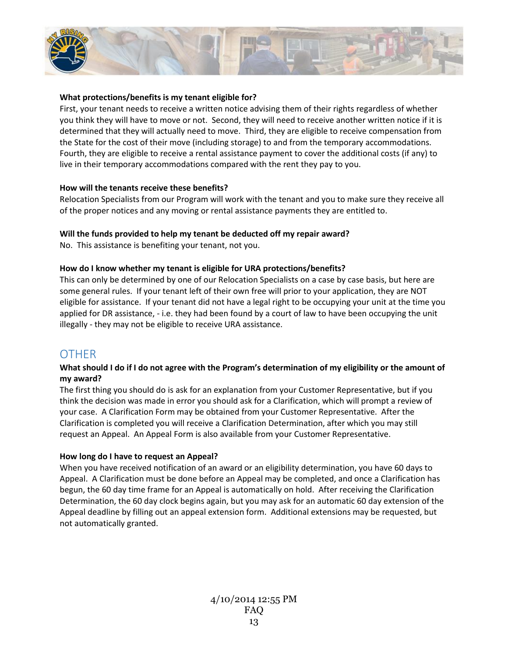

#### **What protections/benefits is my tenant eligible for?**

First, your tenant needs to receive a written notice advising them of their rights regardless of whether you think they will have to move or not. Second, they will need to receive another written notice if it is determined that they will actually need to move. Third, they are eligible to receive compensation from the State for the cost of their move (including storage) to and from the temporary accommodations. Fourth, they are eligible to receive a rental assistance payment to cover the additional costs (if any) to live in their temporary accommodations compared with the rent they pay to you.

#### **How will the tenants receive these benefits?**

Relocation Specialists from our Program will work with the tenant and you to make sure they receive all of the proper notices and any moving or rental assistance payments they are entitled to.

#### **Will the funds provided to help my tenant be deducted off my repair award?**

No. This assistance is benefiting your tenant, not you.

#### **How do I know whether my tenant is eligible for URA protections/benefits?**

This can only be determined by one of our Relocation Specialists on a case by case basis, but here are some general rules. If your tenant left of their own free will prior to your application, they are NOT eligible for assistance. If your tenant did not have a legal right to be occupying your unit at the time you applied for DR assistance, - i.e. they had been found by a court of law to have been occupying the unit illegally - they may not be eligible to receive URA assistance.

# **OTHER**

## **What should I do if I do not agree with the Program's determination of my eligibility or the amount of my award?**

The first thing you should do is ask for an explanation from your Customer Representative, but if you think the decision was made in error you should ask for a Clarification, which will prompt a review of your case. A Clarification Form may be obtained from your Customer Representative. After the Clarification is completed you will receive a Clarification Determination, after which you may still request an Appeal. An Appeal Form is also available from your Customer Representative.

#### **How long do I have to request an Appeal?**

When you have received notification of an award or an eligibility determination, you have 60 days to Appeal. A Clarification must be done before an Appeal may be completed, and once a Clarification has begun, the 60 day time frame for an Appeal is automatically on hold. After receiving the Clarification Determination, the 60 day clock begins again, but you may ask for an automatic 60 day extension of the Appeal deadline by filling out an appeal extension form. Additional extensions may be requested, but not automatically granted.